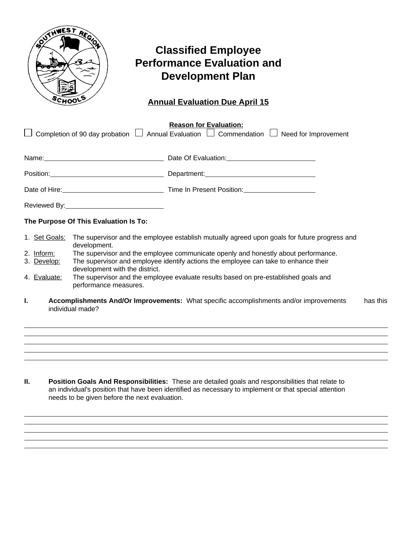

 $\overline{a}$  $\ddot{\phantom{a}}$  $\overline{a}$  $\ddot{\phantom{a}}$  $\ddot{\phantom{a}}$ 

## **Classified Employee Performance Evaluation and Development Plan**

## **Annual Evaluation Due April 15**

|               |                                                                                                                       | <b>Reason for Evaluation:</b><br>Completion of 90 day probation $\Box$ Annual Evaluation $\Box$ Commendation $\Box$ Need for Improvement                                                                                            |          |  |  |
|---------------|-----------------------------------------------------------------------------------------------------------------------|-------------------------------------------------------------------------------------------------------------------------------------------------------------------------------------------------------------------------------------|----------|--|--|
|               |                                                                                                                       | Name: Name: Name: Name: Name: Name: Name: Name: Name: Name: Name: Name: Name: Name: Name: Name: Name: Name: Name: Name: Name: Name: Name: Name: Name: Name: Name: Name: Name: Name: Name: Name: Name: Name: Name: Name: Name:       |          |  |  |
|               |                                                                                                                       | Position: Network of Department: Network and Department: Network of Department: Network and Department: Network and Department: Network and Department: Network and Department: Network and Department: Network and Department      |          |  |  |
|               |                                                                                                                       | Date of Hire: <u>New York: Time In Present Position:</u> Network: Network: Network: Network: Network: Network: Network: Network: Network: Network: Network: Network: Network: Network: Network: Network: Network: Network: Network: |          |  |  |
|               |                                                                                                                       |                                                                                                                                                                                                                                     |          |  |  |
|               | The Purpose Of This Evaluation Is To:                                                                                 |                                                                                                                                                                                                                                     |          |  |  |
| 1. Set Goals: | development.                                                                                                          | The supervisor and the employee establish mutually agreed upon goals for future progress and                                                                                                                                        |          |  |  |
| 2. Inform:    |                                                                                                                       | The supervisor and the employee communicate openly and honestly about performance.                                                                                                                                                  |          |  |  |
| 3. Develop:   | The supervisor and employee identify actions the employee can take to enhance their<br>development with the district. |                                                                                                                                                                                                                                     |          |  |  |
| 4. Evaluate:  | The supervisor and the employee evaluate results based on pre-established goals and<br>performance measures.          |                                                                                                                                                                                                                                     |          |  |  |
| ı.            | individual made?                                                                                                      | Accomplishments And/Or Improvements: What specific accomplishments and/or improvements                                                                                                                                              | has this |  |  |

**II. Position Goals And Responsibilities:** These are detailed goals and responsibilities that relate to an individual's position that have been identified as necessary to implement or that special attention needs to be given before the next evaluation.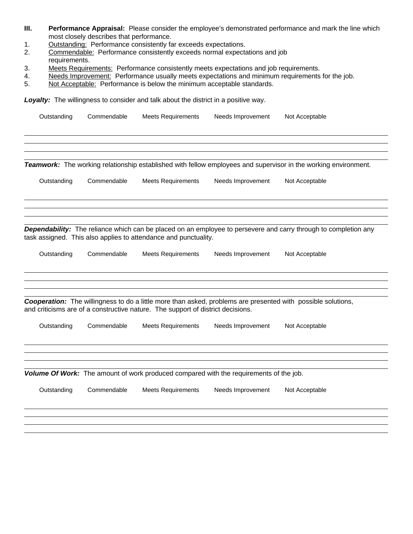- **III. Performance Appraisal:** Please consider the employee's demonstrated performance and mark the line which most closely describes that performance.
- 1. Outstanding: Performance consistently far exceeds expectations.<br>2. Commendable: Performance consistently exceeds normal expecta
- Commendable: Performance consistently exceeds normal expectations and job requirements.
- 3. Meets Requirements: Performance consistently meets expectations and job requirements.
- 4. Needs Improvement: Performance usually meets expectations and minimum requirements for the job.
- 5. Not Acceptable: Performance is below the minimum acceptable standards.

Loyalty: The willingness to consider and talk about the district in a positive way.

| Outstanding | Commendable | <b>Meets Requirements</b>                                                              | Needs Improvement | Not Acceptable                                                                                                         |  |
|-------------|-------------|----------------------------------------------------------------------------------------|-------------------|------------------------------------------------------------------------------------------------------------------------|--|
|             |             |                                                                                        |                   | Teamwork: The working relationship established with fellow employees and supervisor in the working environment.        |  |
| Outstanding | Commendable | <b>Meets Requirements</b>                                                              | Needs Improvement | Not Acceptable                                                                                                         |  |
|             |             | task assigned. This also applies to attendance and punctuality.                        |                   | <b>Dependability:</b> The reliance which can be placed on an employee to persevere and carry through to completion any |  |
| Outstanding | Commendable | <b>Meets Requirements</b>                                                              | Needs Improvement | Not Acceptable                                                                                                         |  |
|             |             | and criticisms are of a constructive nature. The support of district decisions.        |                   | Cooperation: The willingness to do a little more than asked, problems are presented with possible solutions,           |  |
| Outstanding | Commendable | <b>Meets Requirements</b>                                                              | Needs Improvement | Not Acceptable                                                                                                         |  |
|             |             | Volume Of Work: The amount of work produced compared with the requirements of the job. |                   |                                                                                                                        |  |
| Outstanding | Commendable | <b>Meets Requirements</b>                                                              | Needs Improvement | Not Acceptable                                                                                                         |  |
|             |             |                                                                                        |                   |                                                                                                                        |  |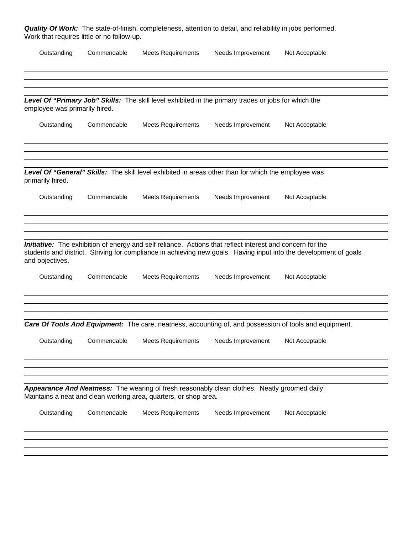**Quality Of Work:** The state-of-finish, completeness, attention to detail, and reliability in jobs performed. Work that requires little or no follow-up.

| Outstanding                   | Commendable | <b>Meets Requirements</b>                                                                                                                                         | Needs Improvement | Not Acceptable                                                                                                    |  |  |
|-------------------------------|-------------|-------------------------------------------------------------------------------------------------------------------------------------------------------------------|-------------------|-------------------------------------------------------------------------------------------------------------------|--|--|
|                               |             | Level Of "Primary Job" Skills: The skill level exhibited in the primary trades or jobs for which the                                                              |                   |                                                                                                                   |  |  |
| employee was primarily hired. |             |                                                                                                                                                                   |                   |                                                                                                                   |  |  |
| Outstanding                   | Commendable | <b>Meets Requirements</b>                                                                                                                                         | Needs Improvement | Not Acceptable                                                                                                    |  |  |
| primarily hired.              |             | Level Of "General" Skills: The skill level exhibited in areas other than for which the employee was                                                               |                   |                                                                                                                   |  |  |
| Outstanding                   | Commendable | <b>Meets Requirements</b>                                                                                                                                         | Needs Improvement | Not Acceptable                                                                                                    |  |  |
| and objectives.               |             | <b>Initiative:</b> The exhibition of energy and self reliance. Actions that reflect interest and concern for the                                                  |                   | students and district. Striving for compliance in achieving new goals. Having input into the development of goals |  |  |
| Outstanding                   | Commendable | <b>Meets Requirements</b>                                                                                                                                         | Needs Improvement | Not Acceptable                                                                                                    |  |  |
|                               |             |                                                                                                                                                                   |                   | <b>Care Of Tools And Equipment:</b> The care, neatness, accounting of, and possession of tools and equipment.     |  |  |
| Outstanding                   | Commendable | <b>Meets Requirements</b>                                                                                                                                         | Needs Improvement | Not Acceptable                                                                                                    |  |  |
|                               |             | Appearance And Neatness: The wearing of fresh reasonably clean clothes. Neatly groomed daily.<br>Maintains a neat and clean working area, quarters, or shop area. |                   |                                                                                                                   |  |  |
| Outstanding                   | Commendable | <b>Meets Requirements</b>                                                                                                                                         | Needs Improvement | Not Acceptable                                                                                                    |  |  |
|                               |             |                                                                                                                                                                   |                   |                                                                                                                   |  |  |
|                               |             |                                                                                                                                                                   |                   |                                                                                                                   |  |  |